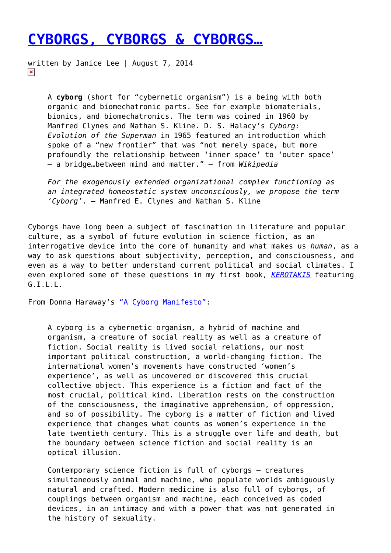# **[CYBORGS, CYBORGS & CYBORGS…](https://entropymag.org/cyborgs-cyborgs-cyborgs/)**

written by Janice Lee | August 7, 2014  $\pmb{\times}$ 

> A **cyborg** (short for "cybernetic organism") is a being with both organic and biomechatronic parts. See for example biomaterials, bionics, and biomechatronics. The term was coined in 1960 by Manfred Clynes and Nathan S. Kline. D. S. Halacy's *Cyborg: Evolution of the Superman* in 1965 featured an introduction which spoke of a "new frontier" that was "not merely space, but more profoundly the relationship between 'inner space' to 'outer space' – a bridge…between mind and matter." — from *Wikipedia*

*For the exogenously extended organizational complex functioning as an integrated homeostatic system unconsciously, we propose the term 'Cyborg'*. — Manfred E. Clynes and Nathan S. Kline

Cyborgs have long been a subject of fascination in literature and popular culture, as a symbol of future evolution in science fiction, as an interrogative device into the core of humanity and what makes us *human*, as a way to ask questions about subjectivity, perception, and consciousness, and even as a way to better understand current political and social climates. I even explored some of these questions in my first book, *[KEROTAKIS](http://janicel.com/?portfolio=kerotakis)* featuring G.I.L.L.

From Donna Haraway's ["A Cyborg Manifesto"](http://www.egs.edu/faculty/donna-haraway/articles/donna-haraway-a-cyborg-manifesto/):

A cyborg is a cybernetic organism, a hybrid of machine and organism, a creature of social reality as well as a creature of fiction. Social reality is lived social relations, our most important political construction, a world-changing fiction. The international women's movements have constructed 'women's experience', as well as uncovered or discovered this crucial collective object. This experience is a fiction and fact of the most crucial, political kind. Liberation rests on the construction of the consciousness, the imaginative apprehension, of oppression, and so of possibility. The cyborg is a matter of fiction and lived experience that changes what counts as women's experience in the late twentieth century. This is a struggle over life and death, but the boundary between science fiction and social reality is an optical illusion.

Contemporary science fiction is full of cyborgs — creatures simultaneously animal and machine, who populate worlds ambiguously natural and crafted. Modern medicine is also full of cyborgs, of couplings between organism and machine, each conceived as coded devices, in an intimacy and with a power that was not generated in the history of sexuality.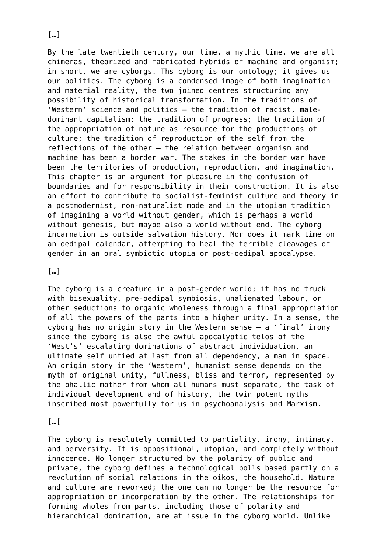By the late twentieth century, our time, a mythic time, we are all chimeras, theorized and fabricated hybrids of machine and organism; in short, we are cyborgs. Ths cyborg is our ontology; it gives us our politics. The cyborg is a condensed image of both imagination and material reality, the two joined centres structuring any possibility of historical transformation. In the traditions of 'Western' science and politics — the tradition of racist, maledominant capitalism; the tradition of progress; the tradition of the appropriation of nature as resource for the productions of culture; the tradition of reproduction of the self from the reflections of the other — the relation between organism and machine has been a border war. The stakes in the border war have been the territories of production, reproduction, and imagination. This chapter is an argument for pleasure in the confusion of boundaries and for responsibility in their construction. It is also an effort to contribute to socialist-feminist culture and theory in a postmodernist, non-naturalist mode and in the utopian tradition of imagining a world without gender, which is perhaps a world without genesis, but maybe also a world without end. The cyborg incarnation is outside salvation history. Nor does it mark time on an oedipal calendar, attempting to heal the terrible cleavages of gender in an oral symbiotic utopia or post-oedipal apocalypse.

#### […]

The cyborg is a creature in a post-gender world; it has no truck with bisexuality, pre-oedipal symbiosis, unalienated labour, or other seductions to organic wholeness through a final appropriation of all the powers of the parts into a higher unity. In a sense, the cyborg has no origin story in the Western sense — a 'final' irony since the cyborg is also the awful apocalyptic telos of the 'West's' escalating dominations of abstract individuation, an ultimate self untied at last from all dependency, a man in space. An origin story in the 'Western', humanist sense depends on the myth of original unity, fullness, bliss and terror, represented by the phallic mother from whom all humans must separate, the task of individual development and of history, the twin potent myths inscribed most powerfully for us in psychoanalysis and Marxism.

#### $\lceil \dots \rceil$

The cyborg is resolutely committed to partiality, irony, intimacy, and perversity. It is oppositional, utopian, and completely without innocence. No longer structured by the polarity of public and private, the cyborg defines a technological polls based partly on a revolution of social relations in the oikos, the household. Nature and culture are reworked; the one can no longer be the resource for appropriation or incorporation by the other. The relationships for forming wholes from parts, including those of polarity and hierarchical domination, are at issue in the cyborg world. Unlike

 $\lceil$ ...]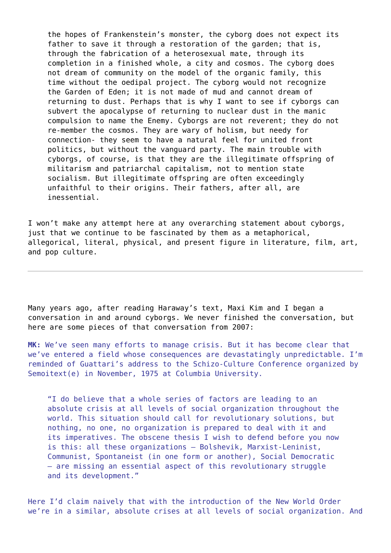the hopes of Frankenstein's monster, the cyborg does not expect its father to save it through a restoration of the garden; that is, through the fabrication of a heterosexual mate, through its completion in a finished whole, a city and cosmos. The cyborg does not dream of community on the model of the organic family, this time without the oedipal project. The cyborg would not recognize the Garden of Eden; it is not made of mud and cannot dream of returning to dust. Perhaps that is why I want to see if cyborgs can subvert the apocalypse of returning to nuclear dust in the manic compulsion to name the Enemy. Cyborgs are not reverent; they do not re-member the cosmos. They are wary of holism, but needy for connection- they seem to have a natural feel for united front politics, but without the vanguard party. The main trouble with cyborgs, of course, is that they are the illegitimate offspring of militarism and patriarchal capitalism, not to mention state socialism. But illegitimate offspring are often exceedingly unfaithful to their origins. Their fathers, after all, are inessential.

I won't make any attempt here at any overarching statement about cyborgs, just that we continue to be fascinated by them as a metaphorical, allegorical, literal, physical, and present figure in literature, film, art, and pop culture.

Many years ago, after reading Haraway's text, Maxi Kim and I began a conversation in and around cyborgs. We never finished the conversation, but here are some pieces of that conversation from 2007:

**MK:** We've seen many efforts to manage crisis. But it has become clear that we've entered a field whose consequences are devastatingly unpredictable. I'm reminded of Guattari's address to the Schizo-Culture Conference organized by Semoitext(e) in November, 1975 at Columbia University.

"I do believe that a whole series of factors are leading to an absolute crisis at all levels of social organization throughout the world. This situation should call for revolutionary solutions, but nothing, no one, no organization is prepared to deal with it and its imperatives. The obscene thesis I wish to defend before you now is this: all these organizations – Bolshevik, Marxist-Leninist, Communist, Spontaneist (in one form or another), Social Democratic – are missing an essential aspect of this revolutionary struggle and its development."

Here I'd claim naively that with the introduction of the New World Order we're in a similar, absolute crises at all levels of social organization. And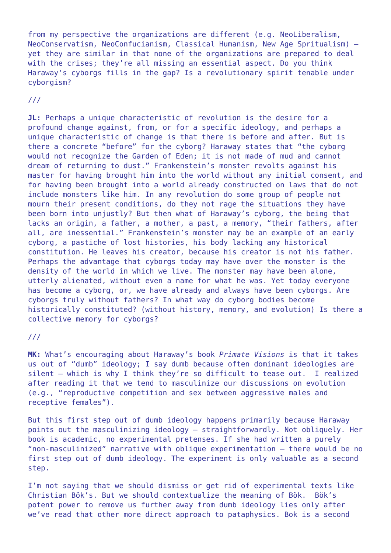from my perspective the organizations are different (e.g. NeoLiberalism, NeoConservatism, NeoConfucianism, Classical Humanism, New Age Spritualism) yet they are similar in that none of the organizations are prepared to deal with the crises; they're all missing an essential aspect. Do you think Haraway's cyborgs fills in the gap? Is a revolutionary spirit tenable under cyborgism?

///

**JL:** Perhaps a unique characteristic of revolution is the desire for a profound change against, from, or for a specific ideology, and perhaps a unique characteristic of change is that there is before and after. But is there a concrete "before" for the cyborg? Haraway states that "the cyborg would not recognize the Garden of Eden; it is not made of mud and cannot dream of returning to dust." Frankenstein's monster revolts against his master for having brought him into the world without any initial consent, and for having been brought into a world already constructed on laws that do not include monsters like him. In any revolution do some group of people not mourn their present conditions, do they not rage the situations they have been born into unjustly? But then what of Haraway's cyborg, the being that lacks an origin, a father, a mother, a past, a memory, "their fathers, after all, are inessential." Frankenstein's monster may be an example of an early cyborg, a pastiche of lost histories, his body lacking any historical constitution. He leaves his creator, because his creator is not his father. Perhaps the advantage that cyborgs today may have over the monster is the density of the world in which we live. The monster may have been alone, utterly alienated, without even a name for what he was. Yet today everyone has become a cyborg, or, we have already and always have been cyborgs. Are cyborgs truly without fathers? In what way do cyborg bodies become historically constituted? (without history, memory, and evolution) Is there a collective memory for cyborgs?

#### ///

**MK:** What's encouraging about Haraway's book *Primate Visions* is that it takes us out of "dumb" ideology; I say dumb because often dominant ideologies are silent — which is why I think they're so difficult to tease out. I realized after reading it that we tend to masculinize our discussions on evolution (e.g., "reproductive competition and sex between aggressive males and receptive females").

But this first step out of dumb ideology happens primarily because Haraway points out the masculinizing ideology — straightforwardly. Not obliquely. Her book is academic, no experimental pretenses. If she had written a purely "non-masculinized" narrative with oblique experimentation – there would be no first step out of dumb ideology. The experiment is only valuable as a second step.

I'm not saying that we should dismiss or get rid of experimental texts like Christian Bök's. But we should contextualize the meaning of Bök. Bök's potent power to remove us further away from dumb ideology lies only after we've read that other more direct approach to pataphysics. Bok is a second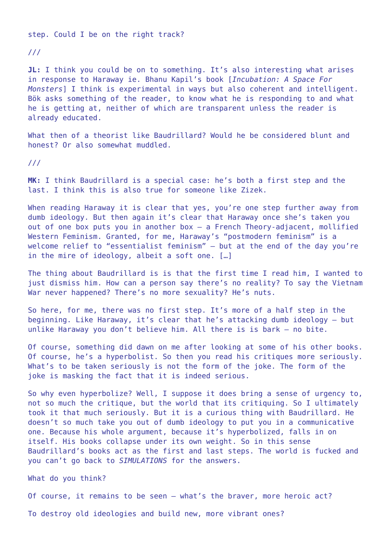step. Could I be on the right track?

///

**JL:** I think you could be on to something. It's also interesting what arises in response to Haraway ie. Bhanu Kapil's book [*Incubation: A Space For Monsters*] I think is experimental in ways but also coherent and intelligent. Bök asks something of the reader, to know what he is responding to and what he is getting at, neither of which are transparent unless the reader is already educated.

What then of a theorist like Baudrillard? Would he be considered blunt and honest? Or also somewhat muddled.

///

**MK:** I think Baudrillard is a special case: he's both a first step and the last. I think this is also true for someone like Zizek.

When reading Haraway it is clear that yes, you're one step further away from dumb ideology. But then again it's clear that Haraway once she's taken you out of one box puts you in another box – a French Theory-adjacent, mollified Western Feminism. Granted, for me, Haraway's "postmodern feminism" is a welcome relief to "essentialist feminism" — but at the end of the day you're in the mire of ideology, albeit a soft one. […]

The thing about Baudrillard is is that the first time I read him, I wanted to just dismiss him. How can a person say there's no reality? To say the Vietnam War never happened? There's no more sexuality? He's nuts.

So here, for me, there was no first step. It's more of a half step in the beginning. Like Haraway, it's clear that he's attacking dumb ideology – but unlike Haraway you don't believe him. All there is is bark — no bite.

Of course, something did dawn on me after looking at some of his other books. Of course, he's a hyperbolist. So then you read his critiques more seriously. What's to be taken seriously is not the form of the joke. The form of the joke is masking the fact that it is indeed serious.

So why even hyperbolize? Well, I suppose it does bring a sense of urgency to, not so much the critique, but the world that its critiquing. So I ultimately took it that much seriously. But it is a curious thing with Baudrillard. He doesn't so much take you out of dumb ideology to put you in a communicative one. Because his whole argument, because it's hyperbolized, falls in on itself. His books collapse under its own weight. So in this sense Baudrillard's books act as the first and last steps. The world is fucked and you can't go back to *SIMULATIONS* for the answers.

What do you think?

Of course, it remains to be seen — what's the braver, more heroic act?

To destroy old ideologies and build new, more vibrant ones?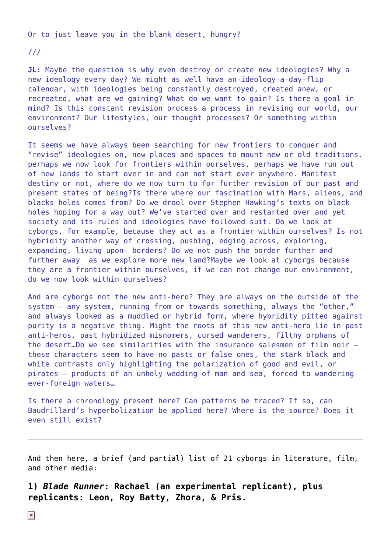Or to just leave you in the blank desert, hungry?

///

**JL:** Maybe the question is why even destroy or create new ideologies? Why a new ideology every day? We might as well have an-ideology-a-day-flip calendar, with ideologies being constantly destroyed, created anew, or recreated, what are we gaining? What do we want to gain? Is there a goal in mind? Is this constant revision process a process in revising our world, our environment? Our lifestyles, our thought processes? Or something within ourselves?

It seems we have always been searching for new frontiers to conquer and "revise" ideologies on, new places and spaces to mount new or old traditions. perhaps we now look for frontiers within ourselves, perhaps we have run out of new lands to start over in and can not start over anywhere. Manifest destiny or not, where do we now turn to for further revision of our past and present states of being?Is there where our fascination with Mars, aliens, and blacks holes comes from? Do we drool over Stephen Hawking's texts on black holes hoping for a way out? We've started over and restarted over and yet society and its rules and ideologies have followed suit. Do we look at cyborgs, for example, because they act as a frontier within ourselves? Is not hybridity another way of crossing, pushing, edging across, exploring, expanding, living upon- borders? Do we not push the border further and further away as we explore more new land?Maybe we look at cyborgs because they are a frontier within ourselves, if we can not change our environment, do we now look within ourselves?

And are cyborgs not the new anti-hero? They are always on the outside of the system — any system, running from or towards something, always the "other," and always looked as a muddled or hybrid form, where hybridity pitted against purity is a negative thing. Might the roots of this new anti-hero lie in past anti-heros, past hybridized misnomers, cursed wanderers, filthy orphans of the desert…Do we see similarities with the insurance salesmen of film noir these characters seem to have no pasts or false ones, the stark black and white contrasts only highlighting the polarization of good and evil, or pirates — products of an unholy wedding of man and sea, forced to wandering ever-foreign waters…

Is there a chronology present here? Can patterns be traced? If so, can Baudrillard's hyperbolization be applied here? Where is the source? Does it even still exist?

And then here, a brief (and partial) list of 21 cyborgs in literature, film, and other media:

**1)** *Blade Runner***: Rachael (an experimental replicant), plus replicants: Leon, Roy Batty, Zhora, & Pris.**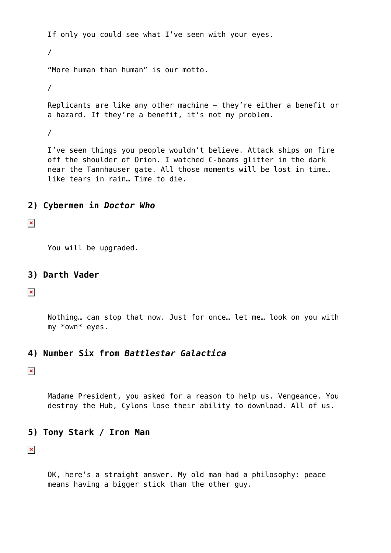If only you could see what I've seen with your eyes. / "More human than human" is our motto. / Replicants are like any other machine – they're either a benefit or a hazard. If they're a benefit, it's not my problem. / I've seen things you people wouldn't believe. Attack ships on fire off the shoulder of Orion. I watched C-beams glitter in the dark near the Tannhauser gate. All those moments will be lost in time… like tears in rain… Time to die.

#### **2) Cybermen in** *Doctor Who*

 $\pmb{\times}$ 

You will be upgraded.

**3) Darth Vader**

 $\pmb{\times}$ 

Nothing… can stop that now. Just for once… let me… look on you with my \*own\* eyes.

### **4) Number Six from** *Battlestar Galactica*

 $\pmb{\times}$ 

Madame President, you asked for a reason to help us. Vengeance. You destroy the Hub, Cylons lose their ability to download. All of us.

## **5) Tony Stark / Iron Man**

 $\pmb{\times}$ 

OK, here's a straight answer. My old man had a philosophy: peace means having a bigger stick than the other guy.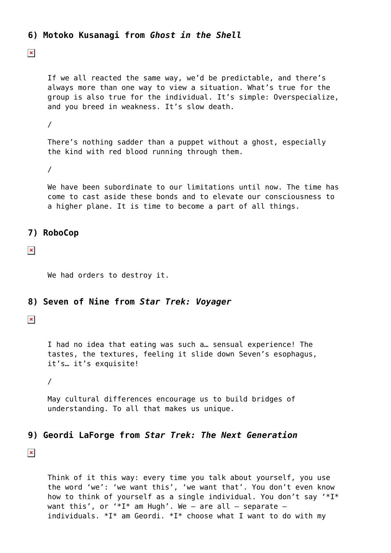```
6) Motoko Kusanagi from Ghost in the Shell
```
 $\pmb{\times}$ 

If we all reacted the same way, we'd be predictable, and there's always more than one way to view a situation. What's true for the group is also true for the individual. It's simple: Overspecialize, and you breed in weakness. It's slow death.

/

There's nothing sadder than a puppet without a ghost, especially the kind with red blood running through them.

/

We have been subordinate to our limitations until now. The time has come to cast aside these bonds and to elevate our consciousness to a higher plane. It is time to become a part of all things.

# **7) RoboCop**

 $\pmb{\times}$ 

We had orders to destroy it.

### **8) Seven of Nine from** *Star Trek: Voyager*

 $\pmb{\times}$ 

I had no idea that eating was such a… sensual experience! The tastes, the textures, feeling it slide down Seven's esophagus, it's… it's exquisite!

/

May cultural differences encourage us to build bridges of understanding. To all that makes us unique.

# **9) Geordi LaForge from** *Star Trek: The Next Generation*

 $\pmb{\times}$ 

Think of it this way: every time you talk about yourself, you use the word 'we': 'we want this', 'we want that'. You don't even know how to think of yourself as a single individual. You don't say '\*I\* want this', or '\*I\* am Hugh'. We - are all - separate individuals.  $*I^*$  am Geordi.  $*I^*$  choose what I want to do with my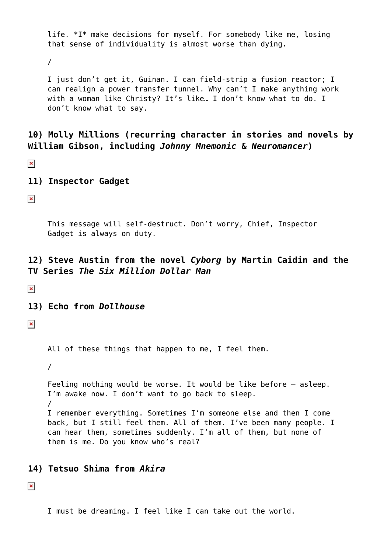life. \*I\* make decisions for myself. For somebody like me, losing that sense of individuality is almost worse than dying.

/

I just don't get it, Guinan. I can field-strip a fusion reactor; I can realign a power transfer tunnel. Why can't I make anything work with a woman like Christy? It's like... I don't know what to do. I don't know what to say.

**10) Molly Millions (recurring character in stories and novels by William Gibson, including** *Johnny Mnemonic* **&** *Neuromancer***)**

 $\pmb{\times}$ 

**11) Inspector Gadget**

 $\pmb{\times}$ 

This message will self-destruct. Don't worry, Chief, Inspector Gadget is always on duty.

# **12) Steve Austin from the novel** *Cyborg* **by Martin Caidin and the TV Series** *The Six Million Dollar Man*

 $\pmb{\times}$ 

**13) Echo from** *Dollhouse*

 $\pmb{\times}$ 

All of these things that happen to me, I feel them.

/

Feeling nothing would be worse. It would be like before – asleep. I'm awake now. I don't want to go back to sleep. / I remember everything. Sometimes I'm someone else and then I come back, but I still feel them. All of them. I've been many people. I can hear them, sometimes suddenly. I'm all of them, but none of them is me. Do you know who's real?

### **14) Tetsuo Shima from** *Akira*

 $\pmb{\times}$ 

I must be dreaming. I feel like I can take out the world.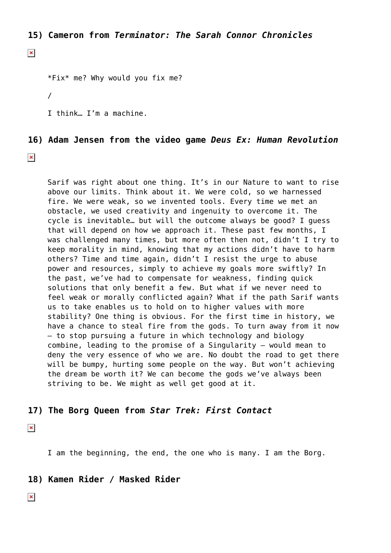**15) Cameron from** *Terminator: The Sarah Connor Chronicles*

 $\pmb{\times}$ 

\*Fix\* me? Why would you fix me?

/

I think… I'm a machine.

#### **16) Adam Jensen from the video game** *Deus Ex: Human Revolution*

 $\pmb{\times}$ 

Sarif was right about one thing. It's in our Nature to want to rise above our limits. Think about it. We were cold, so we harnessed fire. We were weak, so we invented tools. Every time we met an obstacle, we used creativity and ingenuity to overcome it. The cycle is inevitable… but will the outcome always be good? I guess that will depend on how we approach it. These past few months, I was challenged many times, but more often then not, didn't I try to keep morality in mind, knowing that my actions didn't have to harm others? Time and time again, didn't I resist the urge to abuse power and resources, simply to achieve my goals more swiftly? In the past, we've had to compensate for weakness, finding quick solutions that only benefit a few. But what if we never need to feel weak or morally conflicted again? What if the path Sarif wants us to take enables us to hold on to higher values with more stability? One thing is obvious. For the first time in history, we have a chance to steal fire from the gods. To turn away from it now – to stop pursuing a future in which technology and biology combine, leading to the promise of a Singularity – would mean to deny the very essence of who we are. No doubt the road to get there will be bumpy, hurting some people on the way. But won't achieving the dream be worth it? We can become the gods we've always been striving to be. We might as well get good at it.

#### **17) The Borg Queen from** *Star Trek: First Contact*

 $\pmb{\times}$ 

I am the beginning, the end, the one who is many. I am the Borg.

**18) Kamen Rider / Masked Rider**

 $\pmb{\times}$